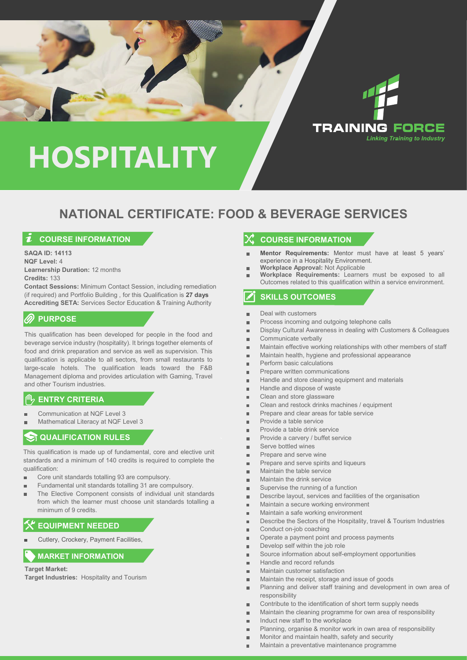



## **NATIONAL CERTIFICATE: FOOD & BEVERAGE SERVICES**

## **COURSE INFORMATION**

**SAQA ID: 14113 NQF Level:** 4 **Learnership Duration:** 12 months **Credits:** 133

**Contact Sessions:** Minimum Contact Session, including remediation (if required) and Portfolio Building , for this Qualification is **27 days Accrediting SETA:** Services Sector Education & Training Authority

## **PURPOSE**

This qualification has been developed for people in the food and beverage service industry (hospitality). It brings together elements of food and drink preparation and service as well as supervision. This qualification is applicable to all sectors, from small restaurants to large-scale hotels. The qualification leads toward the F&B Management diploma and provides articulation with Gaming, Travel and other Tourism industries.

## **ENTRY CRITERIA**

- Communication at NQF Level 3
- Mathematical Literacy at NQF Level 3

## **QUALIFICATION RULES**

This qualification is made up of fundamental, core and elective unit standards and a minimum of 140 credits is required to complete the qualification:

- Ĩ. Core unit standards totalling 93 are compulsory.
- Fundamental unit standards totalling 31 are compulsory.
- The Elective Component consists of individual unit standards r. from which the learner must choose unit standards totalling a minimum of 9 credits.

### **EQUIPMENT NEEDED**

Cutlery, Crockery, Payment Facilities,

#### **MARKET INFORMATION**

#### **Target Market:**

**Target Industries:** Hospitality and Tourism

### **X** COURSE INFORMATION

- **Mentor Requirements:** Mentor must have at least 5 years' experience in a Hospitality Environment.
- **Workplace Approval:** Not Applicable
- **Workplace Requirements:** Learners must be exposed to all Outcomes related to this qualification within a service environment.

### **SKILLS OUTCOMES**

- Deal with customers Î.
- Process incoming and outgoing telephone calls 'n
- Display Cultural Awareness in dealing with Customers & Colleagues Ì.
- Communicate verbally Ì.
- Maintain effective working relationships with other members of staff
- Maintain health, hygiene and professional appearance r.
- Perform basic calculations
- Prepare written communications
- Handle and store cleaning equipment and materials
- r. Handle and dispose of waste
- Clean and store glassware F
- r. Clean and restock drinks machines / equipment
- Prepare and clear areas for table service r.
- Provide a table service r.
- Provide a table drink service F
- Provide a carvery / buffet service ř.
- Serve bottled wines
- Prepare and serve wine
- Prepare and serve spirits and liqueurs ×.
- Maintain the table service r.
- Maintain the drink service r.
- Supervise the running of a function
- Describe layout, services and facilities of the organisation
- Maintain a secure working environment à.
- Maintain a safe working environment
- Describe the Sectors of the Hospitality, travel & Tourism Industries
- Conduct on-job coaching Î.
- Operate a payment point and process payments i.
- Develop self within the job role n.
- Source information about self-employment opportunities í.
- Handle and record refunds
- Maintain customer satisfaction ř.
- Maintain the receipt, storage and issue of goods  $\blacksquare$
- Planning and deliver staff training and development in own area of responsibility
- Contribute to the identification of short term supply needs Î.
- Maintain the cleaning programme for own area of responsibility  $\blacksquare$
- Induct new staff to the workplace  $\blacksquare$
- Planning, organise & monitor work in own area of responsibility
- Monitor and maintain health, safety and security
- Maintain a preventative maintenance programme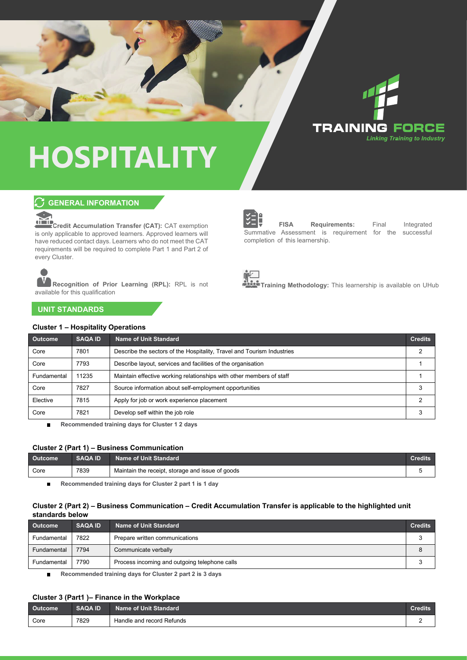

## **C** GENERAL INFORMATION



**Credit Accumulation Transfer (CAT):** CAT exemption is only applicable to approved learners. Approved learners will have reduced contact days. Learners who do not meet the CAT requirements will be required to complete Part 1 and Part 2 of every Cluster.

**Recognition of Prior Learning (RPL):** RPL is not available for this qualification



**FISA Requirements:** Final Integrated Summative Assessment is requirement for the successful completion of this learnership.



**Training Methodology:** This learnership is available on UHub

**UNIT STANDARDS**

#### **Cluster 1 – Hospitality Operations**

| <b>Outcome</b> | <b>SAQA ID</b> | Name of Unit Standard                                                  | <b>Credits</b> |
|----------------|----------------|------------------------------------------------------------------------|----------------|
| Core           | 7801           | Describe the sectors of the Hospitality, Travel and Tourism Industries |                |
| Core           | 7793           | Describe layout, services and facilities of the organisation           |                |
| Fundamental    | 11235          | Maintain effective working relationships with other members of staff   |                |
| Core           | 7827           | Source information about self-employment opportunities                 |                |
| Elective       | 7815           | Apply for job or work experience placement                             | ◠              |
| Core           | 7821           | Develop self within the job role                                       |                |

 $\blacksquare$ **Recommended training days for Cluster 1 2 days**

#### **Cluster 2 (Part 1) – Business Communication**

| <b>Outcome</b> | <b>SAQA ID</b> | Name of Unit Standard                            | <b>Credits</b> |
|----------------|----------------|--------------------------------------------------|----------------|
| Core           | 7839           | Maintain the receipt, storage and issue of goods |                |

**Recommended training days for Cluster 2 part 1 is 1 day**  $\blacksquare$ 

#### **Cluster 2 (Part 2) – Business Communication – Credit Accumulation Transfer is applicable to the highlighted unit standards below**

| <b>Outcome</b> | <b>SAQA ID</b> | Name of Unit Standard                         | <b>Credits</b> |
|----------------|----------------|-----------------------------------------------|----------------|
| Fundamental    | 7822           | Prepare written communications                |                |
| Fundamental    | 7794           | Communicate verbally                          |                |
| Fundamental    | 7790           | Process incoming and outgoing telephone calls |                |

**Recommended training days for Cluster 2 part 2 is 3 days**  $\blacksquare$ 

#### **Cluster 3 (Part1 )– Finance in the Workplace**

| <b>Outcome</b> | <b>SAQA ID</b> | Name of Unit Standard     | Credits |
|----------------|----------------|---------------------------|---------|
| Core           | 7829           | Handle and record Refunds |         |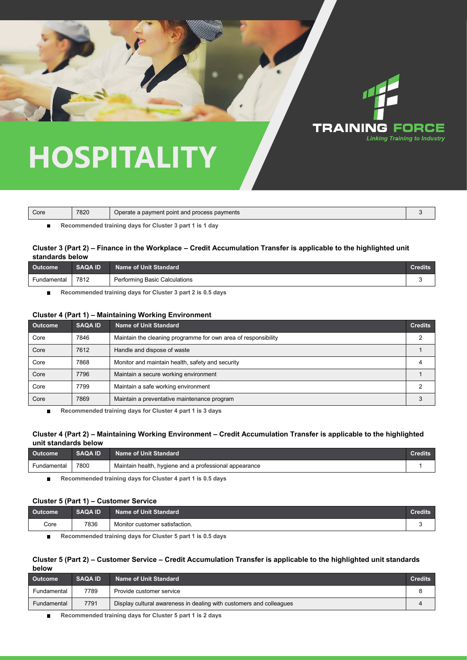

| Core | 7820 | Operate a payment point and process payments            |  |
|------|------|---------------------------------------------------------|--|
|      |      | Recommended training days for Cluster 3 part 1 is 1 day |  |

#### **Cluster 3 (Part 2) – Finance in the Workplace – Credit Accumulation Transfer is applicable to the highlighted unit standards below**

| <b>Outcome</b> | <b>SAQA ID</b> | <b>Name of Unit Standard</b>  | <b>Credits</b> |
|----------------|----------------|-------------------------------|----------------|
| Fundamental    | 7812           | Performing Basic Calculations |                |

**Recommended training days for Cluster 3 part 2 is 0.5 days** п

#### **Cluster 4 (Part 1) – Maintaining Working Environment**

| <b>Outcome</b> | <b>SAQA ID</b> | <b>Name of Unit Standard</b>                                   | <b>Credits</b> |
|----------------|----------------|----------------------------------------------------------------|----------------|
| Core           | 7846           | Maintain the cleaning programme for own area of responsibility | ◠              |
| Core           | 7612           | Handle and dispose of waste                                    |                |
| Core           | 7868           | Monitor and maintain health, safety and security               |                |
| Core           | 7796           | Maintain a secure working environment                          |                |
| Core           | 7799           | Maintain a safe working environment                            |                |
| Core           | 7869           | Maintain a preventative maintenance program                    |                |

 $\blacksquare$ **Recommended training days for Cluster 4 part 1 is 3 days**

#### **Cluster 4 (Part 2) – Maintaining Working Environment – Credit Accumulation Transfer is applicable to the highlighted unit standards below**

| <b>Outcome</b> | <b>SAQA ID</b> | <b>Name of Unit Standard</b>                           | Credits |
|----------------|----------------|--------------------------------------------------------|---------|
| Fundamental    | 7800           | Maintain health, hygiene and a professional appearance |         |

**Recommended training days for Cluster 4 part 1 is 0.5 days**  $\blacksquare$ 

#### **Cluster 5 (Part 1) – Customer Service**

| <b>come</b> | <b>SAQA ID</b> | Standard<br>Unit :<br>Name<br>ют   | edits |
|-------------|----------------|------------------------------------|-------|
| Core        | 7836<br>.      | ∵customer satisfaction.<br>Monitor |       |

**Recommended training days for Cluster 5 part 1 is 0.5 days**  $\blacksquare$ 

#### **Cluster 5 (Part 2) – Customer Service – Credit Accumulation Transfer is applicable to the highlighted unit standards below**

| <b>Outcome</b> | <b>SAQA ID</b> | Name of Unit Standard                                               | <b>Credits</b> |
|----------------|----------------|---------------------------------------------------------------------|----------------|
| Fundamental    | 7789           | Provide customer service                                            |                |
| Fundamental    | 7791           | Display cultural awareness in dealing with customers and colleagues |                |
|                |                |                                                                     |                |

**Recommended training days for Cluster 5 part 1 is 2 days**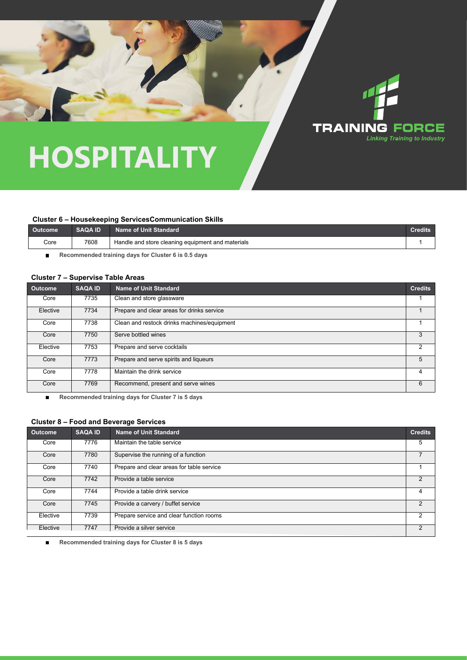

#### **Cluster 6 – Housekeeping ServicesCommunication Skills**

| Outcome <sup>1</sup> | <b>SAQA ID</b> | Name of Unit Standard                             | Credits |
|----------------------|----------------|---------------------------------------------------|---------|
| Core                 | 7608           | Handle and store cleaning equipment and materials |         |

 $\blacksquare$ **Recommended training days for Cluster 6 is 0.5 days**

#### **Cluster 7 – Supervise Table Areas**

| Outcome  | <b>SAQA ID</b> | <b>Name of Unit Standard</b>                | <b>Credits</b> |
|----------|----------------|---------------------------------------------|----------------|
| Core     | 7735           | Clean and store glassware                   |                |
| Elective | 7734           | Prepare and clear areas for drinks service  |                |
| Core     | 7738           | Clean and restock drinks machines/equipment |                |
| Core     | 7750           | Serve bottled wines                         | 3              |
| Elective | 7753           | Prepare and serve cocktails                 |                |
| Core     | 7773           | Prepare and serve spirits and liqueurs      | 5              |
| Core     | 7778           | Maintain the drink service                  | 4              |
| Core     | 7769           | Recommend, present and serve wines          | 6              |

 $\blacksquare$ **Recommended training days for Cluster 7 is 5 days**

#### **Cluster 8 – Food and Beverage Services**

| Outcome  | <b>SAQA ID</b> | <b>Name of Unit Standard</b>              | <b>Credits</b> |
|----------|----------------|-------------------------------------------|----------------|
| Core     | 7776           | Maintain the table service                | 5              |
| Core     | 7780           | Supervise the running of a function       |                |
| Core     | 7740           | Prepare and clear areas for table service |                |
| Core     | 7742           | Provide a table service                   | $\overline{2}$ |
| Core     | 7744           | Provide a table drink service             | 4              |
| Core     | 7745           | Provide a carvery / buffet service        | $\mathcal{P}$  |
| Elective | 7739           | Prepare service and clear function rooms  | 2              |
| Elective | 7747           | Provide a silver service                  | 2              |

**Recommended training days for Cluster 8 is 5 days**  $\blacksquare$